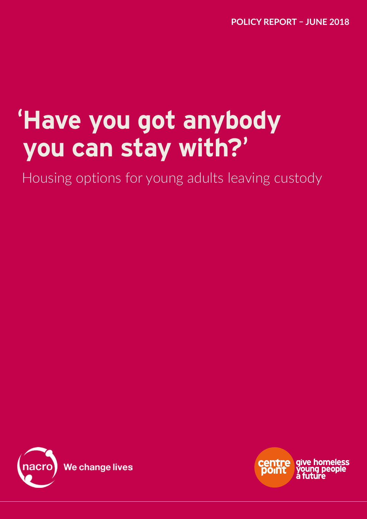**POLICY REPORT – JUNE 2018**

# **'Have you got anybody you can stay with?'**

Housing options for young adults leaving custody



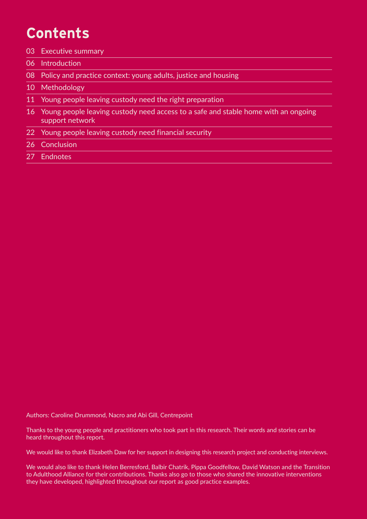# **Contents**

- 03 Executive summary
- 06 Introduction
- 08 Policy and practice context: young adults, justice and housing
- 10 Methodology
- 11 Young people leaving custody need the right preparation
- 16 Young people leaving custody need access to a safe and stable home with an ongoing support network
- 22 Young people leaving custody need financial security
- 26 Conclusion
- 27 Endnotes

Authors: Caroline Drummond, Nacro and Abi Gill, Centrepoint

Thanks to the young people and practitioners who took part in this research. Their words and stories can be heard throughout this report.

We would like to thank Elizabeth Daw for her support in designing this research project and conducting interviews.

We would also like to thank Helen Berresford, Balbir Chatrik, Pippa Goodfellow, David Watson and the Transition to Adulthood Alliance for their contributions. Thanks also go to those who shared the innovative interventions they have developed, highlighted throughout our report as good practice examples.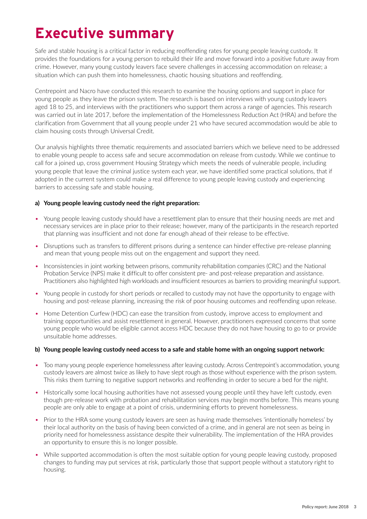# **Executive summary**

Safe and stable housing is a critical factor in reducing reoffending rates for young people leaving custody. It provides the foundations for a young person to rebuild their life and move forward into a positive future away from crime. However, many young custody leavers face severe challenges in accessing accommodation on release; a situation which can push them into homelessness, chaotic housing situations and reoffending.

Centrepoint and Nacro have conducted this research to examine the housing options and support in place for young people as they leave the prison system. The research is based on interviews with young custody leavers aged 18 to 25, and interviews with the practitioners who support them across a range of agencies. This research was carried out in late 2017, before the implementation of the Homelessness Reduction Act (HRA) and before the clarification from Government that all young people under 21 who have secured accommodation would be able to claim housing costs through Universal Credit.

Our analysis highlights three thematic requirements and associated barriers which we believe need to be addressed to enable young people to access safe and secure accommodation on release from custody. While we continue to call for a joined up, cross government Housing Strategy which meets the needs of vulnerable people, including young people that leave the criminal justice system each year, we have identified some practical solutions, that if adopted in the current system could make a real difference to young people leaving custody and experiencing barriers to accessing safe and stable housing.

#### **a) Young people leaving custody need the right preparation:**

- Young people leaving custody should have a resettlement plan to ensure that their housing needs are met and necessary services are in place prior to their release; however, many of the participants in the research reported that planning was insufficient and not done far enough ahead of their release to be effective.
- Disruptions such as transfers to different prisons during a sentence can hinder effective pre-release planning and mean that young people miss out on the engagement and support they need.
- Inconsistencies in joint working between prisons, community rehabilitation companies (CRC) and the National Probation Service (NPS) make it difficult to offer consistent pre- and post-release preparation and assistance. Practitioners also highlighted high workloads and insufficient resources as barriers to providing meaningful support.
- Young people in custody for short periods or recalled to custody may not have the opportunity to engage with housing and post-release planning, increasing the risk of poor housing outcomes and reoffending upon release.
- Home Detention Curfew (HDC) can ease the transition from custody, improve access to employment and training opportunities and assist resettlement in general. However, practitioners expressed concerns that some young people who would be eligible cannot access HDC because they do not have housing to go to or provide unsuitable home addresses.

#### **b) Young people leaving custody need access to a safe and stable home with an ongoing support network:**

- Too many young people experience homelessness after leaving custody. Across Centrepoint's accommodation, young custody leavers are almost twice as likely to have slept rough as those without experience with the prison system. This risks them turning to negative support networks and reoffending in order to secure a bed for the night.
- Historically some local housing authorities have not assessed young people until they have left custody, even though pre-release work with probation and rehabilitation services may begin months before. This means young people are only able to engage at a point of crisis, undermining efforts to prevent homelessness.
- Prior to the HRA some young custody leavers are seen as having made themselves 'intentionally homeless' by their local authority on the basis of having been convicted of a crime, and in general are not seen as being in priority need for homelessness assistance despite their vulnerability. The implementation of the HRA provides an opportunity to ensure this is no longer possible.
- While supported accommodation is often the most suitable option for young people leaving custody, proposed changes to funding may put services at risk, particularly those that support people without a statutory right to housing.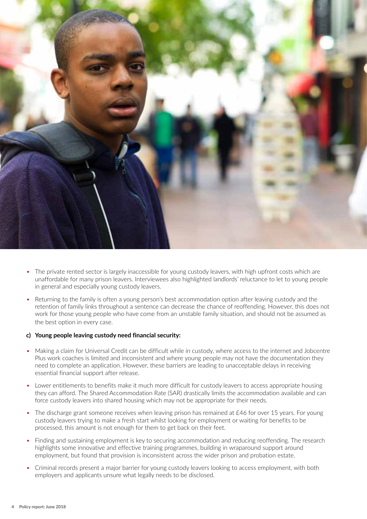

- The private rented sector is largely inaccessible for young custody leavers, with high upfront costs which are unaffordable for many prison leavers. Interviewees also highlighted landlords' reluctance to let to young people in general and especially young custody leavers.
- Returning to the family is often a young person's best accommodation option after leaving custody and the retention of family links throughout a sentence can decrease the chance of reoffending. However, this does not work for those young people who have come from an unstable family situation, and should not be assumed as the best option in every case.

#### **c) Young people leaving custody need financial security:**

- Making a claim for Universal Credit can be difficult while in custody, where access to the internet and Jobcentre Plus work coaches is limited and inconsistent and where young people may not have the documentation they need to complete an application. However, these barriers are leading to unacceptable delays in receiving essential financial support after release.
- Lower entitlements to benefits make it much more difficult for custody leavers to access appropriate housing they can afford. The Shared Accommodation Rate (SAR) drastically limits the accommodation available and can force custody leavers into shared housing which may not be appropriate for their needs.
- The discharge grant someone receives when leaving prison has remained at £46 for over 15 years. For young custody leavers trying to make a fresh start whilst looking for employment or waiting for benefits to be processed, this amount is not enough for them to get back on their feet.
- Finding and sustaining employment is key to securing accommodation and reducing reoffending. The research highlights some innovative and effective training programmes, building in wraparound support around employment, but found that provision is inconsistent across the wider prison and probation estate.
- Criminal records present a major barrier for young custody leavers looking to access employment, with both employers and applicants unsure what legally needs to be disclosed.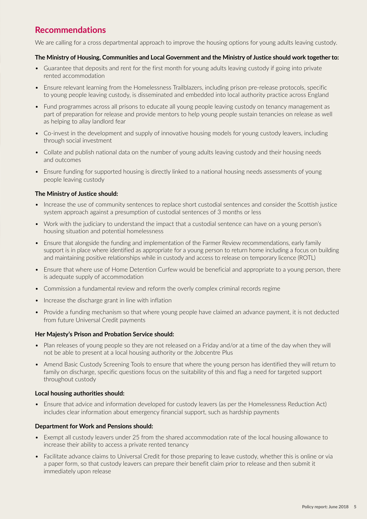# **Recommendations**

We are calling for a cross departmental approach to improve the housing options for young adults leaving custody.

#### **The Ministry of Housing, Communities and Local Government and the Ministry of Justice should work together to:**

- Guarantee that deposits and rent for the first month for young adults leaving custody if going into private rented accommodation
- Ensure relevant learning from the Homelessness Trailblazers, including prison pre-release protocols, specific to young people leaving custody, is disseminated and embedded into local authority practice across England
- Fund programmes across all prisons to educate all young people leaving custody on tenancy management as part of preparation for release and provide mentors to help young people sustain tenancies on release as well as helping to allay landlord fear
- Co-invest in the development and supply of innovative housing models for young custody leavers, including through social investment
- Collate and publish national data on the number of young adults leaving custody and their housing needs and outcomes
- Ensure funding for supported housing is directly linked to a national housing needs assessments of young people leaving custody

#### **The Ministry of Justice should:**

- Increase the use of community sentences to replace short custodial sentences and consider the Scottish justice system approach against a presumption of custodial sentences of 3 months or less
- Work with the judiciary to understand the impact that a custodial sentence can have on a young person's housing situation and potential homelessness
- Ensure that alongside the funding and implementation of the Farmer Review recommendations, early family support is in place where identified as appropriate for a young person to return home including a focus on building and maintaining positive relationships while in custody and access to release on temporary licence (ROTL)
- Ensure that where use of Home Detention Curfew would be beneficial and appropriate to a young person, there is adequate supply of accommodation
- Commission a fundamental review and reform the overly complex criminal records regime
- Increase the discharge grant in line with inflation
- Provide a funding mechanism so that where young people have claimed an advance payment, it is not deducted from future Universal Credit payments

#### **Her Majesty's Prison and Probation Service should:**

- Plan releases of young people so they are not released on a Friday and/or at a time of the day when they will not be able to present at a local housing authority or the Jobcentre Plus
- Amend Basic Custody Screening Tools to ensure that where the young person has identified they will return to family on discharge, specific questions focus on the suitability of this and flag a need for targeted support throughout custody

#### **Local housing authorities should:**

• Ensure that advice and information developed for custody leavers (as per the Homelessness Reduction Act) includes clear information about emergency financial support, such as hardship payments

#### **Department for Work and Pensions should:**

- Exempt all custody leavers under 25 from the shared accommodation rate of the local housing allowance to increase their ability to access a private rented tenancy
- Facilitate advance claims to Universal Credit for those preparing to leave custody, whether this is online or via a paper form, so that custody leavers can prepare their benefit claim prior to release and then submit it immediately upon release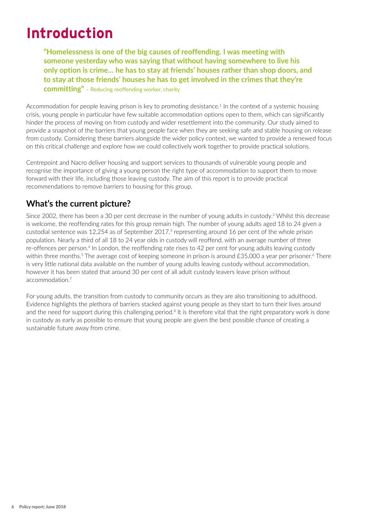# **Introduction**

**"Homelessness is one of the big causes of reoffending. I was meeting with someone yesterday who was saying that without having somewhere to live his only option is crime… he has to stay at friends' houses rather than shop doors, and to stay at those friends' houses he has to get involved in the crimes that they're committing"** – Reducing reoffending worker, charity

Accommodation for people leaving prison is key to promoting desistance.<sup>1</sup> In the context of a systemic housing crisis, young people in particular have few suitable accommodation options open to them, which can significantly hinder the process of moving on from custody and wider resettlement into the community. Our study aimed to provide a snapshot of the barriers that young people face when they are seeking safe and stable housing on release from custody. Considering these barriers alongside the wider policy context, we wanted to provide a renewed focus on this critical challenge and explore how we could collectively work together to provide practical solutions.

Centrepoint and Nacro deliver housing and support services to thousands of vulnerable young people and recognise the importance of giving a young person the right type of accommodation to support them to move forward with their life, including those leaving custody. The aim of this report is to provide practical recommendations to remove barriers to housing for this group.

# **What's the current picture?**

Since 2002, there has been a 30 per cent decrease in the number of young adults in custody.2 Whilst this decrease is welcome, the reoffending rates for this group remain high. The number of young adults aged 18 to 24 given a custodial sentence was 12,254 as of September 2017,<sup>3</sup> representing around 16 per cent of the whole prison population. Nearly a third of all 18 to 24 year olds in custody will reoffend, with an average number of three re-offences per person.<sup>4</sup> In London, the reoffending rate rises to 42 per cent for young adults leaving custody within three months.<sup>5</sup> The average cost of keeping someone in prison is around £35,000 a year per prisoner.<sup>6</sup> There is very little national data available on the number of young adults leaving custody without accommodation, however it has been stated that around 30 per cent of all adult custody leavers leave prison without accommodation.7

For young adults, the transition from custody to community occurs as they are also transitioning to adulthood. Evidence highlights the plethora of barriers stacked against young people as they start to turn their lives around and the need for support during this challenging period.<sup>8</sup> It is therefore vital that the right preparatory work is done in custody as early as possible to ensure that young people are given the best possible chance of creating a sustainable future away from crime.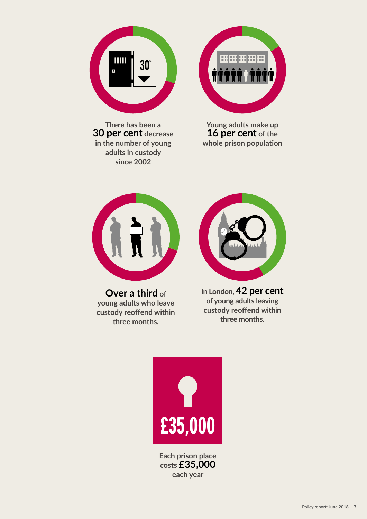

**There has been a 30 per cent decrease in the number of young adults in custody since 2002**



**Young adults make up 16 per cent of the whole prison population** 



**Over a third of young adults who leave custody reoffend within three months.** 



**In London, 42 per cent of young adults leaving custody reoffend within three months.** 



**Each prison place costs £35,000 each year**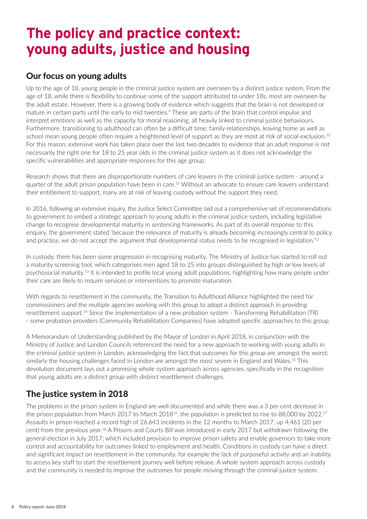# **The policy and practice context: young adults, justice and housing**

## **Our focus on young adults**

Up to the age of 18, young people in the criminal justice system are overseen by a distinct justice system. From the age of 18, while there is flexibility to continue some of the support attributed to under 18s, most are overseen by the adult estate. However, there is a growing body of evidence which suggests that the brain is not developed or mature in certain parts until the early to mid twenties.<sup>9</sup> These are parts of the brain that control impulse and interpret emotions as well as the capacity for moral reasoning, all heavily linked to criminal justice behaviours. Furthermore, transitioning to adulthood can often be a difficult time; family relationships, leaving home as well as school mean young people often require a heightened level of support as they are most at risk of social exclusion.<sup>10</sup> For this reason, extensive work has taken place over the last two decades to evidence that an adult response is not necessarily the right one for 18 to 25 year olds in the criminal justice system as it does not acknowledge the specific vulnerabilities and appropriate responses for this age group.

Research shows that there are disproportionate numbers of care leavers in the criminal justice system - around a quarter of the adult prison population have been in care.<sup>11</sup> Without an advocate to ensure care leavers understand their entitlement to support, many are at risk of leaving custody without the support they need.

In 2016, following an extensive inquiry, the Justice Select Committee laid out a comprehensive set of recommendations to government to embed a strategic approach to young adults in the criminal justice system, including legislative change to recognise developmental maturity in sentencing frameworks. As part of its overall response to this enquiry, the government stated 'because the relevance of maturity is already becoming increasingly central to policy and practice, we do not accept the argument that developmental status needs to be recognised in legislation.<sup>'12</sup>

In custody, there has been some progression in recognising maturity. The Ministry of Justice has started to roll out a maturity screening tool, which categorises men aged 18 to 25 into groups distinguished by high or low levels of psychosocial maturity.13 It is intended to profile local young adult populations, highlighting how many people under their care are likely to require services or interventions to promote maturation.

With regards to resettlement in the community, the Transition to Adulthood Alliance highlighted the need for commissioners and the multiple agencies working with this group to adopt a distinct approach in providing resettlement support.14 Since the implementation of a new probation system - Transforming Rehabilitation (TR) - some probation providers (Community Rehabilitation Companies) have adopted specific approaches to this group.

A Memorandum of Understanding published by the Mayor of London in April 2018, in conjunction with the Ministry of Justice and London Councils referenced the need for a new approach to working with young adults in the criminal justice system in London, acknowledging the fact that outcomes for this group are amongst the worst; similarly the housing challenges faced in London are amongst the most severe in England and Wales.<sup>15</sup> This devolution document lays out a promising whole system approach across agencies, specifically in the recognition that young adults are a distinct group with distinct resettlement challenges.

# **The justice system in 2018**

The problems in the prison system in England are well documented and while there was a 3 per cent decrease in the prison population from March 2017 to March 2018<sup>16</sup>, the population is predicted to rise to 88,000 by 2022.<sup>17</sup> Assaults in prison reached a record high of 26,643 incidents in the 12 months to March 2017, up 4,461 (20 per cent) from the previous year.18 A Prisons and Courts Bill was introduced in early 2017 but withdrawn following the general election in July 2017; which included provision to improve prison safety and enable governors to take more control and accountability for outcomes linked to employment and health. Conditions in custody can have a direct and significant impact on resettlement in the community, for example the lack of purposeful activity and an inability to access key staff to start the resettlement journey well before release. A whole system approach across custody and the community is needed to improve the outcomes for people moving through the criminal justice system.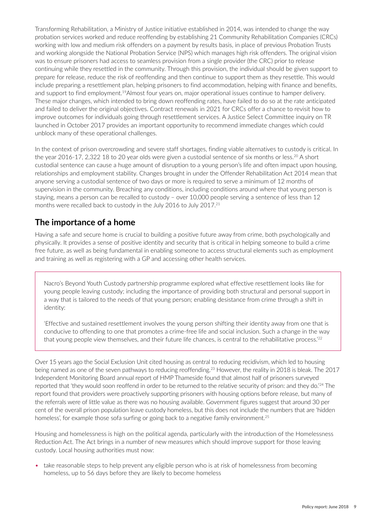Transforming Rehabilitation, a Ministry of Justice initiative established in 2014, was intended to change the way probation services worked and reduce reoffending by establishing 21 Community Rehabilitation Companies (CRCs) working with low and medium risk offenders on a payment by results basis, in place of previous Probation Trusts and working alongside the National Probation Service (NPS) which manages high risk offenders. The original vision was to ensure prisoners had access to seamless provision from a single provider (the CRC) prior to release continuing while they resettled in the community. Through this provision, the individual should be given support to prepare for release, reduce the risk of reoffending and then continue to support them as they resettle. This would include preparing a resettlement plan, helping prisoners to find accommodation, helping with finance and benefits, and support to find employment.19Almost four years on, major operational issues continue to hamper delivery. These major changes, which intended to bring down reoffending rates, have failed to do so at the rate anticipated and failed to deliver the original objectives. Contract renewals in 2021 for CRCs offer a chance to revisit how to improve outcomes for individuals going through resettlement services. A Justice Select Committee inquiry on TR launched in October 2017 provides an important opportunity to recommend immediate changes which could unblock many of these operational challenges.

In the context of prison overcrowding and severe staff shortages, finding viable alternatives to custody is critical. In the year 2016-17, 2,322 18 to 20 year olds were given a custodial sentence of six months or less.<sup>20</sup> A short custodial sentence can cause a huge amount of disruption to a young person's life and often impact upon housing, relationships and employment stability. Changes brought in under the Offender Rehabilitation Act 2014 mean that anyone serving a custodial sentence of two days or more is required to serve a minimum of 12 months of supervision in the community. Breaching any conditions, including conditions around where that young person is staying, means a person can be recalled to custody – over 10,000 people serving a sentence of less than 12 months were recalled back to custody in the July 2016 to July 2017.<sup>21</sup>

# **The importance of a home**

Having a safe and secure home is crucial to building a positive future away from crime, both psychologically and physically. It provides a sense of positive identity and security that is critical in helping someone to build a crime free future, as well as being fundamental in enabling someone to access structural elements such as employment and training as well as registering with a GP and accessing other health services.

Nacro's Beyond Youth Custody partnership programme explored what effective resettlement looks like for young people leaving custody; including the importance of providing both structural and personal support in a way that is tailored to the needs of that young person; enabling desistance from crime through a shift in identity:

'Effective and sustained resettlement involves the young person shifting their identity away from one that is conducive to offending to one that promotes a crime-free life and social inclusion. Such a change in the way that young people view themselves, and their future life chances, is central to the rehabilitative process.'<sup>22</sup>

Over 15 years ago the Social Exclusion Unit cited housing as central to reducing recidivism, which led to housing being named as one of the seven pathways to reducing reoffending.<sup>23</sup> However, the reality in 2018 is bleak. The 2017 Independent Monitoring Board annual report of HMP Thameside found that almost half of prisoners surveyed reported that 'they would soon reoffend in order to be returned to the relative security of prison: and they do.'24 The report found that providers were proactively supporting prisoners with housing options before release, but many of the referrals were of little value as there was no housing available. Government figures suggest that around 30 per cent of the overall prison population leave custody homeless, but this does not include the numbers that are 'hidden homeless', for example those sofa surfing or going back to a negative family environment.<sup>25</sup>

Housing and homelessness is high on the political agenda, particularly with the introduction of the Homelessness Reduction Act. The Act brings in a number of new measures which should improve support for those leaving custody. Local housing authorities must now:

• take reasonable steps to help prevent any eligible person who is at risk of homelessness from becoming homeless, up to 56 days before they are likely to become homeless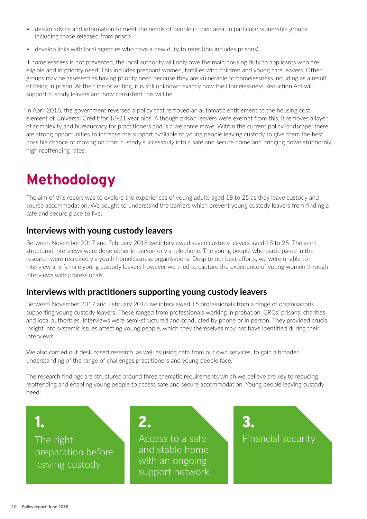- design advice and information to meet the needs of people in their area, in particular vulnerable groups including those released from prison
- develop links with local agencies who have a new duty to refer (this includes prisons)

If homelessness is not prevented, the local authority will only owe the main housing duty to applicants who are eligible and in priority need. This includes pregnant women, families with children and young care leavers. Other groups may be assessed as having priority need because they are vulnerable to homelessness including as a result of being in prison. At the time of writing, it is still unknown exactly how the Homelessness Reduction Act will support custody leavers and how consistent this will be.

In April 2018, the government reversed a policy that removed an automatic entitlement to the housing cost element of Universal Credit for 18-21 year olds. Although prison leavers were exempt from this, it removes a layer of complexity and bureaucracy for practitioners and is a welcome move. Within the current policy landscape, there are strong opportunities to increase the support available to young people leaving custody to give them the best possible chance of moving on from custody successfully into a safe and secure home and bringing down stubbornly high reoffending rates.

# **Methodology**

The aim of this report was to explore the experiences of young adults aged 18 to 25 as they leave custody and source accommodation. We sought to understand the barriers which prevent young custody leavers from finding a safe and secure place to live.

### **Interviews with young custody leavers**

Between November 2017 and February 2018 we interviewed seven custody leavers aged 18 to 25. The semi structured interviews were done either in person or via telephone. The young people who participated in the research were recruited via youth homelessness organisations. Despite our best efforts, we were unable to interview any female young custody leavers however we tried to capture the experience of young women through interviews with professionals.

## **Interviews with practitioners supporting young custody leavers**

Between November 2017 and February 2018 we interviewed 15 professionals from a range of organisations supporting young custody leavers. These ranged from professionals working in probation, CRCs, prisons, charities and local authorities. Interviews were semi-structured and conducted by phone or in person. They provided crucial insight into systemic issues affecting young people, which they themselves may not have identified during their interviews.

We also carried out desk based research, as well as using data from our own services, to gain a broader understanding of the range of challenges practitioners and young people face.

The research findings are structured around three thematic requirements which we believe are key to reducing reoffending and enabling young people to access safe and secure accommodation. Young people leaving custody need:

1. 

The right preparation before leaving custody

2. 

Access to a safe and stable home with an ongoing support network

3. Financial security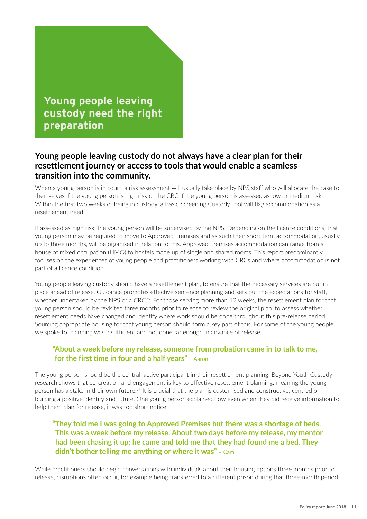# **Young people leaving custody need the right preparation**

### **Young people leaving custody do not always have a clear plan for their resettlement journey or access to tools that would enable a seamless transition into the community.**

When a young person is in court, a risk assessment will usually take place by NPS staff who will allocate the case to themselves if the young person is high risk or the CRC if the young person is assessed as low or medium risk. Within the first two weeks of being in custody, a Basic Screening Custody Tool will flag accommodation as a resettlement need.

If assessed as high risk, the young person will be supervised by the NPS. Depending on the licence conditions, that young person may be required to move to Approved Premises and as such their short term accommodation, usually up to three months, will be organised in relation to this. Approved Premises accommodation can range from a house of mixed occupation (HMO) to hostels made up of single and shared rooms. This report predominantly focuses on the experiences of young people and practitioners working with CRCs and where accommodation is not part of a licence condition.

Young people leaving custody should have a resettlement plan, to ensure that the necessary services are put in place ahead of release. Guidance promotes effective sentence planning and sets out the expectations for staff, whether undertaken by the NPS or a CRC.<sup>26</sup> For those serving more than 12 weeks, the resettlement plan for that young person should be revisited three months prior to release to review the original plan, to assess whether resettlement needs have changed and identify where work should be done throughout this pre-release period. Sourcing appropriate housing for that young person should form a key part of this. For some of the young people we spoke to, planning was insufficient and not done far enough in advance of release.

#### **"About a week before my release, someone from probation came in to talk to me, for the first time in four and a half years"** – Aaron

The young person should be the central, active participant in their resettlement planning. Beyond Youth Custody research shows that co-creation and engagement is key to effective resettlement planning, meaning the young person has a stake in their own future.27 It is crucial that the plan is customised and constructive, centred on building a positive identity and future. One young person explained how even when they did receive information to help them plan for release, it was too short notice:

#### **"They told me I was going to Approved Premises but there was a shortage of beds. This was a week before my release. About two days before my release, my mentor had been chasing it up; he came and told me that they had found me a bed. They didn't bother telling me anything or where it was"** – Cam

While practitioners should begin conversations with individuals about their housing options three months prior to release, disruptions often occur, for example being transferred to a different prison during that three-month period.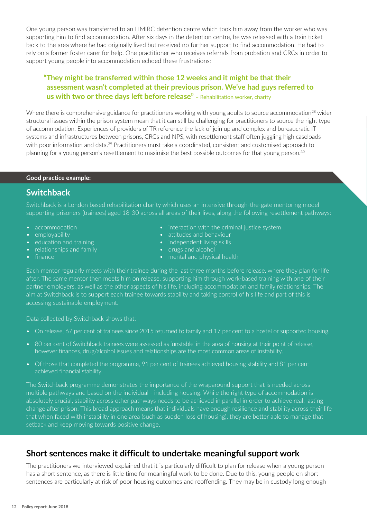One young person was transferred to an HMIRC detention centre which took him away from the worker who was supporting him to find accommodation. After six days in the detention centre, he was released with a train ticket back to the area where he had originally lived but received no further support to find accommodation. He had to rely on a former foster carer for help. One practitioner who receives referrals from probation and CRCs in order to support young people into accommodation echoed these frustrations:

#### **"They might be transferred within those 12 weeks and it might be that their assessment wasn't completed at their previous prison. We've had guys referred to us with two or three days left before release"** – Rehabilitation worker, charity

Where there is comprehensive guidance for practitioners working with young adults to source accommodation<sup>28</sup> wider structural issues within the prison system mean that it can still be challenging for practitioners to source the right type of accommodation. Experiences of providers of TR reference the lack of join up and complex and bureaucratic IT systems and infrastructures between prisons, CRCs and NPS, with resettlement staff often juggling high caseloads with poor information and data.<sup>29</sup> Practitioners must take a coordinated, consistent and customised approach to planning for a young person's resettlement to maximise the best possible outcomes for that young person.30

#### **Good practice example:**

#### **Switchback**

Switchback is a London based rehabilitation charity which uses an intensive through-the-gate mentoring model supporting prisoners (trainees) aged 18-30 across all areas of their lives, along the following resettlement pathways:

- accommodation
- employability
- education and training
- relationships and family
- finance
- interaction with the criminal justice system
- attitudes and behaviour
- independent living skills
- drugs and alcohol
- mental and physical health

Each mentor regularly meets with their trainee during the last three months before release, where they plan for life after. The same mentor then meets him on release, supporting him through work-based training with one of their partner employers, as well as the other aspects of his life, including accommodation and family relationships. The aim at Switchback is to support each trainee towards stability and taking control of his life and part of this is accessing sustainable employment.

Data collected by Switchback shows that:

- On release, 67 per cent of trainees since 2015 returned to family and 17 per cent to a hostel or supported housing.
- 80 per cent of Switchback trainees were assessed as 'unstable' in the area of housing at their point of release, however finances, drug/alcohol issues and relationships are the most common areas of instability.
- Of those that completed the programme, 91 per cent of trainees achieved housing stability and 81 per cent achieved financial stability.

The Switchback programme demonstrates the importance of the wraparound support that is needed across multiple pathways and based on the individual - including housing. While the right type of accommodation is absolutely crucial, stability across other pathways needs to be achieved in parallel in order to achieve real, lasting change after prison. This broad approach means that individuals have enough resilience and stability across their life that when faced with instability in one area (such as sudden loss of housing), they are better able to manage that setback and keep moving towards positive change.

## **Short sentences make it difficult to undertake meaningful support work**

The practitioners we interviewed explained that it is particularly difficult to plan for release when a young person has a short sentence, as there is little time for meaningful work to be done. Due to this, young people on short sentences are particularly at risk of poor housing outcomes and reoffending. They may be in custody long enough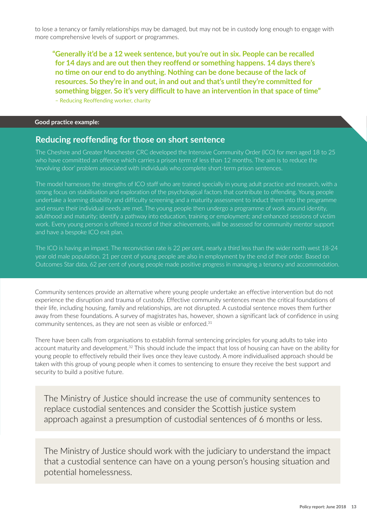to lose a tenancy or family relationships may be damaged, but may not be in custody long enough to engage with more comprehensive levels of support or programmes.

**"Generally it'd be a 12 week sentence, but you're out in six. People can be recalled for 14 days and are out then they reoffend or something happens. 14 days there's no time on our end to do anything. Nothing can be done because of the lack of resources. So they're in and out, in and out and that's until they're committed for something bigger. So it's very difficult to have an intervention in that space of time"** 

– Reducing Reoffending worker, charity

#### **Good practice example:**

#### **Reducing reoffending for those on short sentence**

The Cheshire and Greater Manchester CRC developed the Intensive Community Order (ICO) for men aged 18 to 25 who have committed an offence which carries a prison term of less than 12 months. The aim is to reduce the 'revolving door' problem associated with individuals who complete short-term prison sentences.

The model harnesses the strengths of ICO staff who are trained specially in young adult practice and research, with a strong focus on stabilisation and exploration of the psychological factors that contribute to offending. Young people undertake a learning disability and difficulty screening and a maturity assessment to induct them into the programme and ensure their individual needs are met. The young people then undergo a programme of work around identity, adulthood and maturity; identify a pathway into education, training or employment; and enhanced sessions of victim work. Every young person is offered a record of their achievements, will be assessed for community mentor support and have a bespoke ICO exit plan.

The ICO is having an impact. The reconviction rate is 22 per cent, nearly a third less than the wider north west 18-24 year old male population. 21 per cent of young people are also in employment by the end of their order. Based on Outcomes Star data, 62 per cent of young people made positive progress in managing a tenancy and accommodation.

Community sentences provide an alternative where young people undertake an effective intervention but do not experience the disruption and trauma of custody. Effective community sentences mean the critical foundations of their life, including housing, family and relationships, are not disrupted. A custodial sentence moves them further away from these foundations. A survey of magistrates has, however, shown a significant lack of confidence in using community sentences, as they are not seen as visible or enforced.<sup>31</sup>

There have been calls from organisations to establish formal sentencing principles for young adults to take into account maturity and development.<sup>32</sup> This should include the impact that loss of housing can have on the ability for young people to effectively rebuild their lives once they leave custody. A more individualised approach should be taken with this group of young people when it comes to sentencing to ensure they receive the best support and security to build a positive future.

The Ministry of Justice should increase the use of community sentences to replace custodial sentences and consider the Scottish justice system approach against a presumption of custodial sentences of 6 months or less.

The Ministry of Justice should work with the judiciary to understand the impact that a custodial sentence can have on a young person's housing situation and potential homelessness.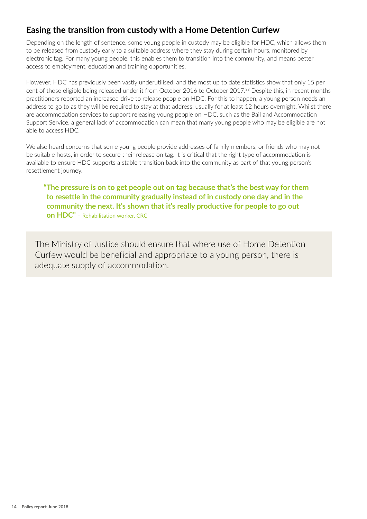# **Easing the transition from custody with a Home Detention Curfew**

Depending on the length of sentence, some young people in custody may be eligible for HDC, which allows them to be released from custody early to a suitable address where they stay during certain hours, monitored by electronic tag. For many young people, this enables them to transition into the community, and means better access to employment, education and training opportunities.

However, HDC has previously been vastly underutilised, and the most up to date statistics show that only 15 per cent of those eligible being released under it from October 2016 to October 2017.33 Despite this, in recent months practitioners reported an increased drive to release people on HDC. For this to happen, a young person needs an address to go to as they will be required to stay at that address, usually for at least 12 hours overnight. Whilst there are accommodation services to support releasing young people on HDC, such as the Bail and Accommodation Support Service, a general lack of accommodation can mean that many young people who may be eligible are not able to access HDC.

We also heard concerns that some young people provide addresses of family members, or friends who may not be suitable hosts, in order to secure their release on tag. It is critical that the right type of accommodation is available to ensure HDC supports a stable transition back into the community as part of that young person's resettlement journey.

#### **"The pressure is on to get people out on tag because that's the best way for them to resettle in the community gradually instead of in custody one day and in the community the next. It's shown that it's really productive for people to go out on HDC"** – Rehabilitation worker, CRC

The Ministry of Justice should ensure that where use of Home Detention Curfew would be beneficial and appropriate to a young person, there is adequate supply of accommodation.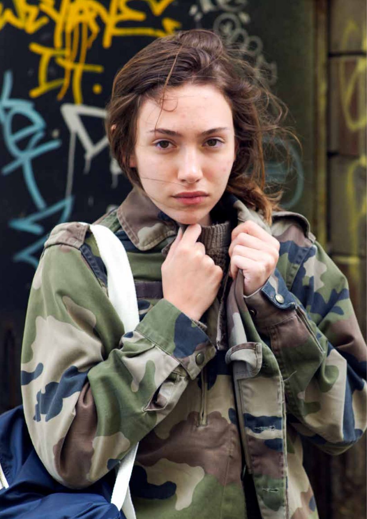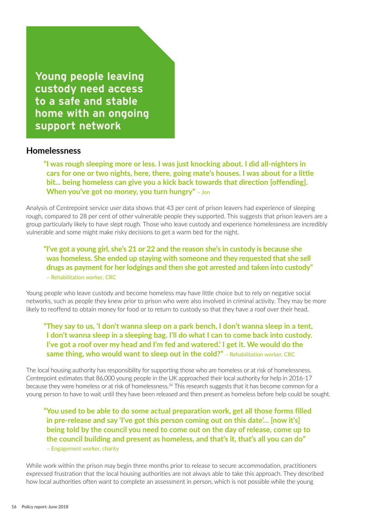**Young people leaving custody need access to a safe and stable home with an ongoing support network**

#### **Homelessness**

**"I was rough sleeping more or less. I was just knocking about. I did all-nighters in cars for one or two nights, here, there, going mate's houses. I was about for a little bit... being homeless can give you a kick back towards that direction [offending]. When you've got no money, you turn hungry"** – Jon

Analysis of Centrepoint service user data shows that 43 per cent of prison leavers had experience of sleeping rough, compared to 28 per cent of other vulnerable people they supported. This suggests that prison leavers are a group particularly likely to have slept rough. Those who leave custody and experience homelessness are incredibly vulnerable and some might make risky decisions to get a warm bed for the night.

#### **"I've got a young girl, she's 21 or 22 and the reason she's in custody is because she was homeless. She ended up staying with someone and they requested that she sell drugs as payment for her lodgings and then she got arrested and taken into custody"**  – Rehabilitation worker, CRC

Young people who leave custody and become homeless may have little choice but to rely on negative social networks, such as people they knew prior to prison who were also involved in criminal activity. They may be more

likely to reoffend to obtain money for food or to return to custody so that they have a roof over their head.

#### **"They say to us, 'I don't wanna sleep on a park bench, I don't wanna sleep in a tent, I don't wanna sleep in a sleeping bag. I'll do what I can to come back into custody. I've got a roof over my head and I'm fed and watered.' I get it. We would do the same thing, who would want to sleep out in the cold?"** - Rehabilitation worker, CRC

The local housing authority has responsibility for supporting those who are homeless or at risk of homelessness. Centrepoint estimates that 86,000 young people in the UK approached their local authority for help in 2016-17 because they were homeless or at risk of homelessness.<sup>34</sup> This research suggests that it has become common for a young person to have to wait until they have been released and then present as homeless before help could be sought.

#### **"You used to be able to do some actual preparation work, get all those forms filled in pre-release and say 'I've got this person coming out on this date'… [now it's] being told by the council you need to come out on the day of release, come up to the council building and present as homeless, and that's it, that's all you can do"**

#### – Engagement worker, charity

While work within the prison may begin three months prior to release to secure accommodation, practitioners expressed frustration that the local housing authorities are not always able to take this approach. They described how local authorities often want to complete an assessment in person, which is not possible while the young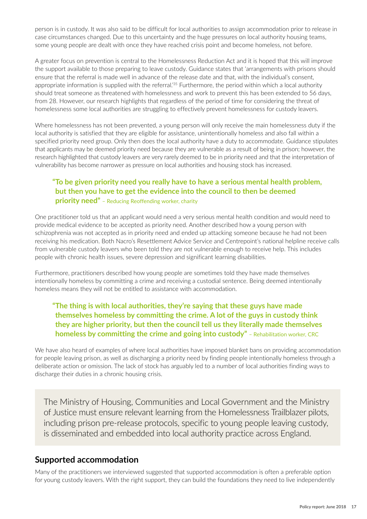person is in custody. It was also said to be difficult for local authorities to assign accommodation prior to release in case circumstances changed. Due to this uncertainty and the huge pressures on local authority housing teams, some young people are dealt with once they have reached crisis point and become homeless, not before.

A greater focus on prevention is central to the Homelessness Reduction Act and it is hoped that this will improve the support available to those preparing to leave custody. Guidance states that 'arrangements with prisons should ensure that the referral is made well in advance of the release date and that, with the individual's consent, appropriate information is supplied with the referral.<sup>'35</sup> Furthermore, the period within which a local authority should treat someone as threatened with homelessness and work to prevent this has been extended to 56 days, from 28. However, our research highlights that regardless of the period of time for considering the threat of homelessness some local authorities are struggling to effectively prevent homelessness for custody leavers.

Where homelessness has not been prevented, a young person will only receive the main homelessness duty if the local authority is satisfied that they are eligible for assistance, unintentionally homeless and also fall within a specified priority need group. Only then does the local authority have a duty to accommodate. Guidance stipulates that applicants may be deemed priority need because they are vulnerable as a result of being in prison; however, the research highlighted that custody leavers are very rarely deemed to be in priority need and that the interpretation of vulnerability has become narrower as pressure on local authorities and housing stock has increased.

#### **"To be given priority need you really have to have a serious mental health problem, but then you have to get the evidence into the council to then be deemed priority need"** – Reducing Reoffending worker, charity

One practitioner told us that an applicant would need a very serious mental health condition and would need to provide medical evidence to be accepted as priority need. Another described how a young person with schizophrenia was not accepted as in priority need and ended up attacking someone because he had not been receiving his medication. Both Nacro's Resettlement Advice Service and Centrepoint's national helpline receive calls from vulnerable custody leavers who been told they are not vulnerable enough to receive help. This includes people with chronic health issues, severe depression and significant learning disabilities.

Furthermore, practitioners described how young people are sometimes told they have made themselves intentionally homeless by committing a crime and receiving a custodial sentence. Being deemed intentionally homeless means they will not be entitled to assistance with accommodation.

#### **"The thing is with local authorities, they're saying that these guys have made themselves homeless by committing the crime. A lot of the guys in custody think they are higher priority, but then the council tell us they literally made themselves homeless by committing the crime and going into custody"** - Rehabilitation worker, CRC

We have also heard of examples of where local authorities have imposed blanket bans on providing accommodation for people leaving prison, as well as discharging a priority need by finding people intentionally homeless through a deliberate action or omission. The lack of stock has arguably led to a number of local authorities finding ways to discharge their duties in a chronic housing crisis.

The Ministry of Housing, Communities and Local Government and the Ministry of Justice must ensure relevant learning from the Homelessness Trailblazer pilots, including prison pre-release protocols, specific to young people leaving custody, is disseminated and embedded into local authority practice across England.

#### **Supported accommodation**

Many of the practitioners we interviewed suggested that supported accommodation is often a preferable option for young custody leavers. With the right support, they can build the foundations they need to live independently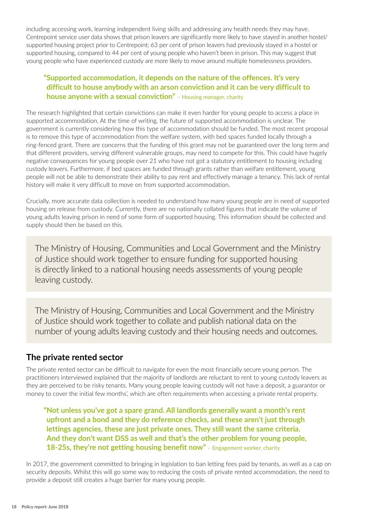including accessing work, learning independent living skills and addressing any health needs they may have. Centrepoint service user data shows that prison leavers are significantly more likely to have stayed in another hostel/ supported housing project prior to Centrepoint; 63 per cent of prison leavers had previously stayed in a hostel or supported housing, compared to 44 per cent of young people who haven't been in prison. This may suggest that young people who have experienced custody are more likely to move around multiple homelessness providers.

#### **"Supported accommodation, it depends on the nature of the offences. It's very difficult to house anybody with an arson conviction and it can be very difficult to house anyone with a sexual conviction"** - Housing manager, charity

The research highlighted that certain convictions can make it even harder for young people to access a place in supported accommodation. At the time of writing, the future of supported accommodation is unclear. The government is currently considering how this type of accommodation should be funded. The most recent proposal is to remove this type of accommodation from the welfare system, with bed spaces funded locally through a ring-fenced grant. There are concerns that the funding of this grant may not be guaranteed over the long term and that different providers, serving different vulnerable groups, may need to compete for this. This could have hugely negative consequences for young people over 21 who have not got a statutory entitlement to housing including custody leavers. Furthermore, if bed spaces are funded through grants rather than welfare entitlement, young people will not be able to demonstrate their ability to pay rent and effectively manage a tenancy. This lack of rental history will make it very difficult to move on from supported accommodation.

Crucially, more accurate data collection is needed to understand how many young people are in need of supported housing on release from custody. Currently, there are no nationally collated figures that indicate the volume of young adults leaving prison in need of some form of supported housing. This information should be collected and supply should then be based on this.

The Ministry of Housing, Communities and Local Government and the Ministry of Justice should work together to ensure funding for supported housing is directly linked to a national housing needs assessments of young people leaving custody.

The Ministry of Housing, Communities and Local Government and the Ministry of Justice should work together to collate and publish national data on the number of young adults leaving custody and their housing needs and outcomes.

#### **The private rented sector**

The private rented sector can be difficult to navigate for even the most financially secure young person. The practitioners interviewed explained that the majority of landlords are reluctant to rent to young custody leavers as they are perceived to be risky tenants. Many young people leaving custody will not have a deposit, a guarantor or money to cover the initial few months', which are often requirements when accessing a private rental property.

**"Not unless you've got a spare grand. All landlords generally want a month's rent upfront and a bond and they do reference checks, and these aren't just through lettings agencies, these are just private ones. They still want the same criteria. And they don't want DSS as well and that's the other problem for young people, 18-25s, they're not getting housing benefit now"** – Engagement worker, charity

In 2017, the government committed to bringing in legislation to ban letting fees paid by tenants, as well as a cap on security deposits. Whilst this will go some way to reducing the costs of private rented accommodation, the need to provide a deposit still creates a huge barrier for many young people.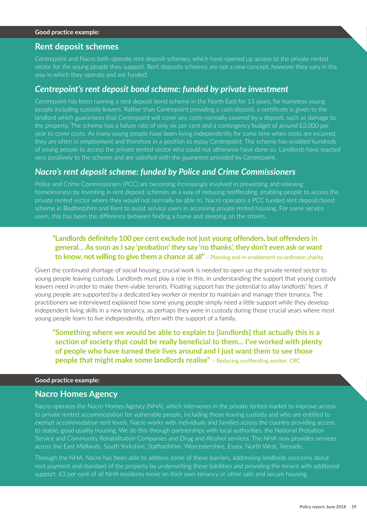#### **Good practice example:**

#### **Rent deposit schemes**

Centrepoint and Nacro both operate rent deposit schemes, which have opened up access to the private rented sector for the young people they support. Rent deposits schemes are not a new concept, however they vary in the way in which they operate and are funded:

#### *Centrepoint's rent deposit bond scheme: funded by private investment*

Centrepoint has been running a rent deposit bond scheme in the North East for 13 years, for homeless young people including custody leavers. Rather than Centrepoint providing a cash deposit, a certificate is given to the landlord which guarantees that Centrepoint will cover any costs normally covered by a deposit, such as damage to the property. The scheme has a failure rate of only six per cent and a contingency budget of around £3,000 per year to cover costs. As many young people have been living independently for some time when costs are incurred, they are often in employment and therefore in a position to repay Centrepoint. The scheme has enabled hundreds of young people to access the private rented sector who could not otherwise have done so. Landlords have reacted very positively to the scheme and are satisfied with the guarantee provided by Centrepoint.

#### *Nacro's rent deposit scheme: funded by Police and Crime Commissioners*

Police and Crime Commissioners (PCC) are becoming increasingly involved in preventing and relieving homelessness by investing in rent deposit schemes as a way of reducing reoffending, enabling people to access the private rented sector where they would not normally be able to. Nacro operates a PCC funded rent deposit/bond scheme in Bedfordshire and Kent to assist service users in accessing private rented housing. For some service users, this has been the difference between finding a home and sleeping on the streets.

#### **"Landlords definitely 100 per cent exclude not just young offenders, but offenders in general… As soon as I say 'probation' they say 'no thanks', they don't even ask or want to know, not willing to give them a chance at all"** – Planning and re-enablement co-ordinator, charity

Given the continued shortage of social housing, crucial work is needed to open up the private rented sector to young people leaving custody. Landlords must play a role in this, in understanding the support that young custody leavers need in order to make them viable tenants. Floating support has the potential to allay landlords' fears, if young people are supported by a dedicated key worker or mentor to maintain and manage their tenancy. The practitioners we interviewed explained how some young people simply need a little support while they develop independent living skills in a new tenancy, as perhaps they were in custody during those crucial years where most young people learn to live independently, often with the support of a family.

**"Something where we would be able to explain to [landlords] that actually this is a section of society that could be really beneficial to them... I've worked with plenty of people who have turned their lives around and I just want them to see those people that might make some landlords realise"** – Reducing reoffending worker, CRC

#### **Good practice example:**

#### **Nacro Homes Agency**

Nacro operates the Nacro Homes Agency (NHA), which intervenes in the private rented market to improve access to private rented accommodation for vulnerable people, including those leaving custody and who are entitled to exempt accommodation rent levels. Nacro works with individuals and families across the country providing access to stable, good quality housing. We do this through partnerships with local authorities, the National Probation Service and Community Rehabilitation Companies and Drug and Alcohol services. The NHA now provides services across the East Midlands, South Yorkshire, Staffordshire, Worcestershire, Essex, North West, Teesside.

Through the NHA, Nacro has been able to address some of these barriers, addressing landlords concerns about rent payment and standard of the property by underwriting these liabilities and providing the tenant with additional support. 63 per cent of all NHA residents move on their own tenancy or other safe and secure housing.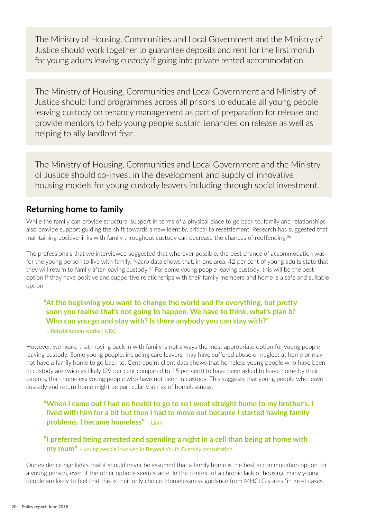The Ministry of Housing, Communities and Local Government and the Ministry of Justice should work together to guarantee deposits and rent for the first month for young adults leaving custody if going into private rented accommodation.

The Ministry of Housing, Communities and Local Government and Ministry of Justice should fund programmes across all prisons to educate all young people leaving custody on tenancy management as part of preparation for release and provide mentors to help young people sustain tenancies on release as well as helping to ally landlord fear.

The Ministry of Housing, Communities and Local Government and the Ministry of Justice should co-invest in the development and supply of innovative housing models for young custody leavers including through social investment.

#### **Returning home to family**

While the family can provide structural support in terms of a physical place to go back to, family and relationships also provide support guiding the shift towards a new identity, critical to resettlement. Research has suggested that maintaining positive links with family throughout custody can decrease the chances of reoffending.<sup>36</sup>

The professionals that we interviewed suggested that wherever possible, the best chance of accommodation was for the young person to live with family. Nacro data shows that, in one area, 42 per cent of young adults state that they will return to family after leaving custody.<sup>37</sup> For some young people leaving custody, this will be the best option if they have positive and supportive relationships with their family members and home is a safe and suitable option.

#### **"At the beginning you want to change the world and fix everything, but pretty soon you realise that's not going to happen. We have to think, what's plan b? Who can you go and stay with? Is there anybody you can stay with?"**

– Rehabilitation worker, CRC

However, we heard that moving back in with family is not always the most appropriate option for young people leaving custody. Some young people, including care leavers, may have suffered abuse or neglect at home or may not have a family home to go back to. Centrepoint client data shows that homeless young people who have been in custody are twice as likely (29 per cent compared to 15 per cent) to have been asked to leave home by their parents, than homeless young people who have not been in custody. This suggests that young people who leave custody and return home might be particularly at risk of homelessness.

**"When I came out I had no hostel to go to so I went straight home to my brother's. I lived with him for a bit but then I had to move out because I started having family problems. I became homeless"** – Liam

**"I preferred being arrested and spending a night in a cell than being at home with my mum"** – young people involved in Beyond Youth Custody consultation

Our evidence highlights that it should never be assumed that a family home is the best accommodation option for a young person, even if the other options seem scarce. In the context of a chronic lack of housing, many young people are likely to feel that this is their only choice. Homelessness guidance from MHCLG states "in most cases,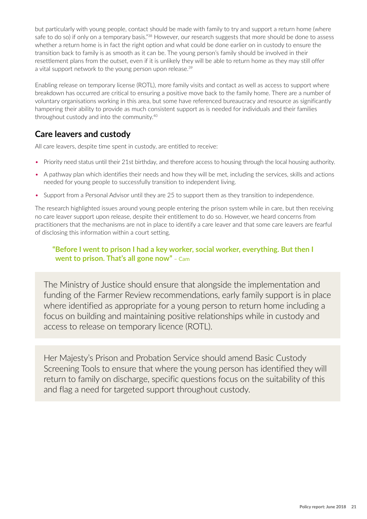but particularly with young people, contact should be made with family to try and support a return home (where safe to do so) if only on a temporary basis."<sup>38</sup> However, our research suggests that more should be done to assess whether a return home is in fact the right option and what could be done earlier on in custody to ensure the transition back to family is as smooth as it can be. The young person's family should be involved in their resettlement plans from the outset, even if it is unlikely they will be able to return home as they may still offer a vital support network to the young person upon release.<sup>39</sup>

Enabling release on temporary license (ROTL), more family visits and contact as well as access to support where breakdown has occurred are critical to ensuring a positive move back to the family home. There are a number of voluntary organisations working in this area, but some have referenced bureaucracy and resource as significantly hampering their ability to provide as much consistent support as is needed for individuals and their families throughout custody and into the community.40

# **Care leavers and custody**

All care leavers, despite time spent in custody, are entitled to receive:

- Priority need status until their 21st birthday, and therefore access to housing through the local housing authority.
- A pathway plan which identifies their needs and how they will be met, including the services, skills and actions needed for young people to successfully transition to independent living.
- Support from a Personal Advisor until they are 25 to support them as they transition to independence.

The research highlighted issues around young people entering the prison system while in care, but then receiving no care leaver support upon release, despite their entitlement to do so. However, we heard concerns from practitioners that the mechanisms are not in place to identify a care leaver and that some care leavers are fearful of disclosing this information within a court setting.

#### **"Before I went to prison I had a key worker, social worker, everything. But then I went to prison. That's all gone now"** – Cam

The Ministry of Justice should ensure that alongside the implementation and funding of the Farmer Review recommendations, early family support is in place where identified as appropriate for a young person to return home including a focus on building and maintaining positive relationships while in custody and access to release on temporary licence (ROTL).

Her Majesty's Prison and Probation Service should amend Basic Custody Screening Tools to ensure that where the young person has identified they will return to family on discharge, specific questions focus on the suitability of this and flag a need for targeted support throughout custody.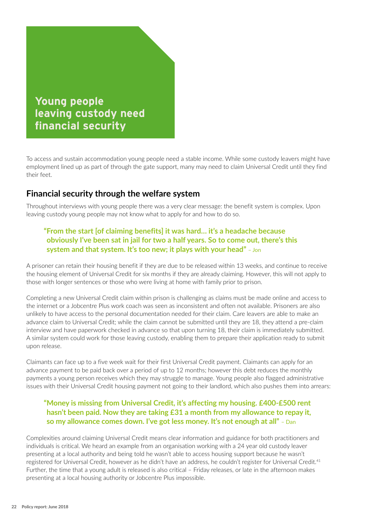

To access and sustain accommodation young people need a stable income. While some custody leavers might have employment lined up as part of through the gate support, many may need to claim Universal Credit until they find their feet.

### **Financial security through the welfare system**

Throughout interviews with young people there was a very clear message: the benefit system is complex. Upon leaving custody young people may not know what to apply for and how to do so.

#### **"From the start [of claiming benefits] it was hard… it's a headache because obviously I've been sat in jail for two a half years. So to come out, there's this system and that system. It's too new; it plays with your head"** – Jon

A prisoner can retain their housing benefit if they are due to be released within 13 weeks, and continue to receive the housing element of Universal Credit for six months if they are already claiming. However, this will not apply to those with longer sentences or those who were living at home with family prior to prison.

Completing a new Universal Credit claim within prison is challenging as claims must be made online and access to the internet or a Jobcentre Plus work coach was seen as inconsistent and often not available. Prisoners are also unlikely to have access to the personal documentation needed for their claim. Care leavers are able to make an advance claim to Universal Credit; while the claim cannot be submitted until they are 18, they attend a pre-claim interview and have paperwork checked in advance so that upon turning 18, their claim is immediately submitted. A similar system could work for those leaving custody, enabling them to prepare their application ready to submit upon release.

Claimants can face up to a five week wait for their first Universal Credit payment. Claimants can apply for an advance payment to be paid back over a period of up to 12 months; however this debt reduces the monthly payments a young person receives which they may struggle to manage. Young people also flagged administrative issues with their Universal Credit housing payment not going to their landlord, which also pushes them into arrears:

#### **"Money is missing from Universal Credit, it's affecting my housing. £400-£500 rent hasn't been paid. Now they are taking £31 a month from my allowance to repay it, so my allowance comes down. I've got less money. It's not enough at all"** – Dan

Complexities around claiming Universal Credit means clear information and guidance for both practitioners and individuals is critical. We heard an example from an organisation working with a 24 year old custody leaver presenting at a local authority and being told he wasn't able to access housing support because he wasn't registered for Universal Credit, however as he didn't have an address, he couldn't register for Universal Credit.<sup>41</sup> Further, the time that a young adult is released is also critical – Friday releases, or late in the afternoon makes presenting at a local housing authority or Jobcentre Plus impossible.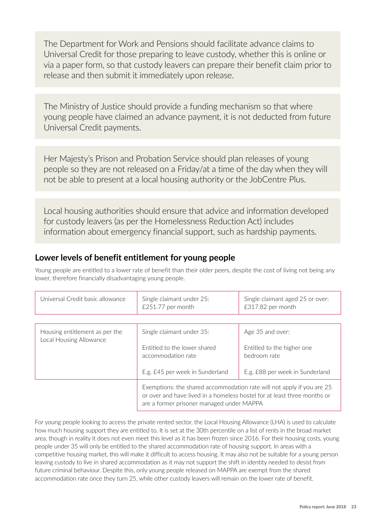The Department for Work and Pensions should facilitate advance claims to Universal Credit for those preparing to leave custody, whether this is online or via a paper form, so that custody leavers can prepare their benefit claim prior to release and then submit it immediately upon release.

The Ministry of Justice should provide a funding mechanism so that where young people have claimed an advance payment, it is not deducted from future Universal Credit payments.

Her Majesty's Prison and Probation Service should plan releases of young people so they are not released on a Friday/at a time of the day when they will not be able to present at a local housing authority or the JobCentre Plus.

Local housing authorities should ensure that advice and information developed for custody leavers (as per the Homelessness Reduction Act) includes information about emergency financial support, such as hardship payments.

### **Lower levels of benefit entitlement for young people**

Young people are entitled to a lower rate of benefit than their older peers, despite the cost of living not being any lower, therefore financially disadvantaging young people.

| Universal Credit basic allowance                          | Single claimant under 25:<br>£251.77 per month                                                                                                                                                  | Single claimant aged 25 or over:<br>£317.82 per month |
|-----------------------------------------------------------|-------------------------------------------------------------------------------------------------------------------------------------------------------------------------------------------------|-------------------------------------------------------|
|                                                           |                                                                                                                                                                                                 |                                                       |
| Housing entitlement as per the<br>Local Housing Allowance | Single claimant under 35:                                                                                                                                                                       | Age 35 and over:                                      |
|                                                           | Entitled to the lower shared<br>accommodation rate                                                                                                                                              | Entitled to the higher one<br>bedroom rate            |
|                                                           | E.g. £45 per week in Sunderland                                                                                                                                                                 | E.g. £88 per week in Sunderland                       |
|                                                           | Exemptions: the shared accommodation rate will not apply if you are 25<br>or over and have lived in a homeless hostel for at least three months or<br>are a former prisoner managed under MAPPA |                                                       |

For young people looking to access the private rented sector, the Local Housing Allowance (LHA) is used to calculate how much housing support they are entitled to. It is set at the 30th percentile on a list of rents in the broad market area, though in reality it does not even meet this level as it has been frozen since 2016. For their housing costs, young people under 35 will only be entitled to the shared accommodation rate of housing support. In areas with a competitive housing market, this will make it difficult to access housing. It may also not be suitable for a young person leaving custody to live in shared accommodation as it may not support the shift in identity needed to desist from future criminal behaviour. Despite this, only young people released on MAPPA are exempt from the shared accommodation rate once they turn 25, while other custody leavers will remain on the lower rate of benefit.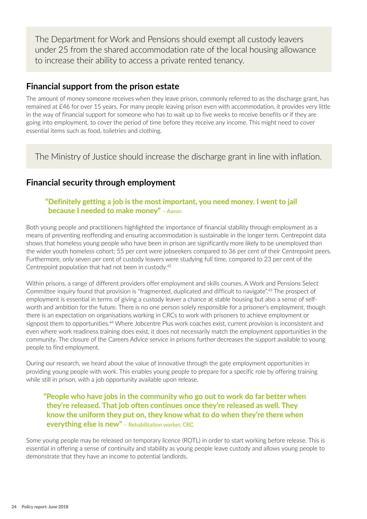The Department for Work and Pensions should exempt all custody leavers under 25 from the shared accommodation rate of the local housing allowance to increase their ability to access a private rented tenancy.

#### **Financial support from the prison estate**

The amount of money someone receives when they leave prison, commonly referred to as the discharge grant, has remained at £46 for over 15 years. For many people leaving prison even with accommodation, it provides very little in the way of financial support for someone who has to wait up to five weeks to receive benefits or if they are going into employment, to cover the period of time before they receive any income. This might need to cover essential items such as food, toiletries and clothing.

The Ministry of Justice should increase the discharge grant in line with inflation.

# **Financial security through employment**

#### **"Definitely getting a job is the most important, you need money. I went to jail because I needed to make money"** – Aaron

Both young people and practitioners highlighted the importance of financial stability through employment as a means of preventing reoffending and ensuring accommodation is sustainable in the longer term. Centrepoint data shows that homeless young people who have been in prison are significantly more likely to be unemployed than the wider youth homeless cohort; 55 per cent were jobseekers compared to 36 per cent of their Centrepoint peers. Furthermore, only seven per cent of custody leavers were studying full time, compared to 23 per cent of the Centrepoint population that had not been in custody.42

Within prisons, a range of different providers offer employment and skills courses. A Work and Pensions Select Committee inquiry found that provision is "fragmented, duplicated and difficult to navigate".43 The prospect of employment is essential in terms of giving a custody leaver a chance at stable housing but also a sense of selfworth and ambition for the future. There is no one person solely responsible for a prisoner's employment, though there is an expectation on organisations working in CRCs to work with prisoners to achieve employment or signpost them to opportunities.<sup>44</sup> Where Jobcentre Plus work coaches exist, current provision is inconsistent and even where work readiness training does exist, it does not necessarily match the employment opportunities in the community. The closure of the Careers Advice service in prisons further decreases the support available to young people to find employment.

During our research, we heard about the value of innovative through the gate employment opportunities in providing young people with work. This enables young people to prepare for a specific role by offering training while still in prison, with a job opportunity available upon release.

#### **"People who have jobs in the community who go out to work do far better when they're released. That job often continues once they're released as well. They know the uniform they put on, they know what to do when they're there when everything else is new"** – Rehabilitation worker, CRC

Some young people may be released on temporary licence (ROTL) in order to start working before release. This is essential in offering a sense of continuity and stability as young people leave custody and allows young people to demonstrate that they have an income to potential landlords.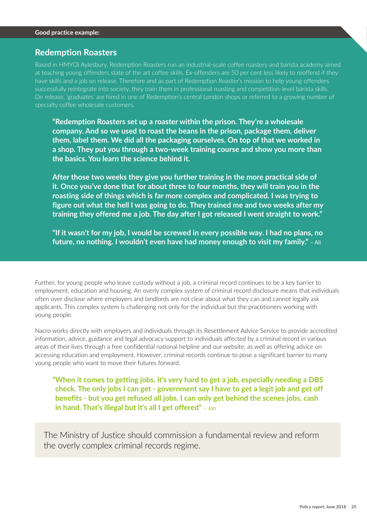#### **Redemption Roasters**

Based in HMYOI Aylesbury, Redemption Roasters run an industrial-scale coffee roastery and barista academy aimed at teaching young offenders state of the art coffee skills. Ex-offenders are 50 per cent less likely to reoffend if they have skills and a job on release. Therefore and as part of Redemption Roaster's mission to help young offenders successfully reintegrate into society, they train them in professional roasting and competition-level barista skills. On release, 'graduates' are hired in one of Redemption's central London shops or referred to a growing number of specialty coffee wholesale customers.

**"Redemption Roasters set up a roaster within the prison. They're a wholesale company. And so we used to roast the beans in the prison, package them, deliver them, label them. We did all the packaging ourselves. On top of that we worked in a shop. They put you through a two-week training course and show you more than the basics. You learn the science behind it.** 

**After those two weeks they give you further training in the more practical side of it. Once you've done that for about three to four months, they will train you in the roasting side of things which is far more complex and complicated. I was trying to figure out what the hell I was going to do. They trained me and two weeks after my training they offered me a job. The day after I got released I went straight to work."** 

**"If it wasn't for my job, I would be screwed in every possible way. I had no plans, no future, no nothing. I wouldn't even have had money enough to visit my family."** – Ali

Further, for young people who leave custody without a job, a criminal record continues to be a key barrier to employment, education and housing. An overly complex system of criminal record disclosure means that individuals often over disclose where employers and landlords are not clear about what they can and cannot legally ask applicants. This complex system is challenging not only for the individual but the practitioners working with young people.

Nacro works directly with employers and individuals through its Resettlement Advice Service to provide accredited information, advice, guidance and legal advocacy support to individuals affected by a criminal record in various areas of their lives through a free confidential national helpline and our website; as well as offering advice on accessing education and employment. However, criminal records continue to pose a significant barrier to many young people who want to move their futures forward.

**"When it comes to getting jobs, it's very hard to get a job, especially needing a DBS check. The only jobs I can get - government say I have to get a legit job and get off benefits - but you get refused all jobs. I can only get behind the scenes jobs, cash in hand. That's illegal but it's all I get offered"** – Jon

The Ministry of Justice should commission a fundamental review and reform the overly complex criminal records regime.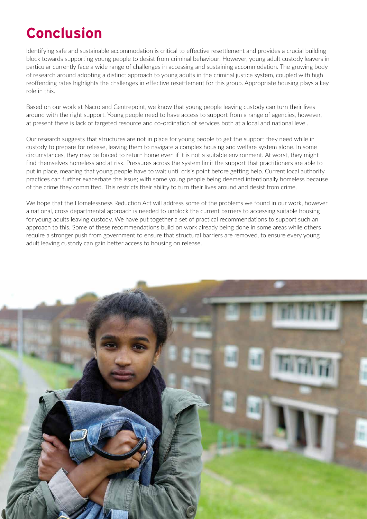# **Conclusion**

Identifying safe and sustainable accommodation is critical to effective resettlement and provides a crucial building block towards supporting young people to desist from criminal behaviour. However, young adult custody leavers in particular currently face a wide range of challenges in accessing and sustaining accommodation. The growing body of research around adopting a distinct approach to young adults in the criminal justice system, coupled with high reoffending rates highlights the challenges in effective resettlement for this group. Appropriate housing plays a key role in this.

Based on our work at Nacro and Centrepoint, we know that young people leaving custody can turn their lives around with the right support. Young people need to have access to support from a range of agencies, however, at present there is lack of targeted resource and co-ordination of services both at a local and national level.

Our research suggests that structures are not in place for young people to get the support they need while in custody to prepare for release, leaving them to navigate a complex housing and welfare system alone. In some circumstances, they may be forced to return home even if it is not a suitable environment. At worst, they might find themselves homeless and at risk. Pressures across the system limit the support that practitioners are able to put in place, meaning that young people have to wait until crisis point before getting help. Current local authority practices can further exacerbate the issue; with some young people being deemed intentionally homeless because of the crime they committed. This restricts their ability to turn their lives around and desist from crime.

We hope that the Homelessness Reduction Act will address some of the problems we found in our work, however a national, cross departmental approach is needed to unblock the current barriers to accessing suitable housing for young adults leaving custody. We have put together a set of practical recommendations to support such an approach to this. Some of these recommendations build on work already being done in some areas while others require a stronger push from government to ensure that structural barriers are removed, to ensure every young adult leaving custody can gain better access to housing on release.

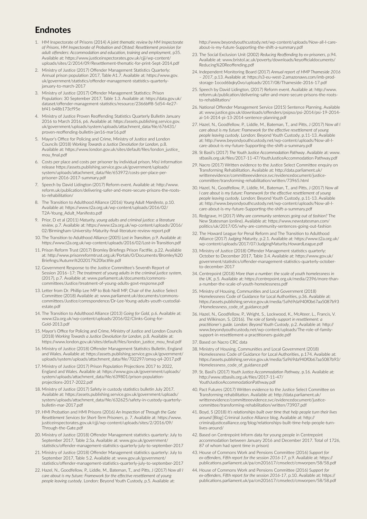### **Endnotes**

- 1. HM Inspectorate of Prisons (2014) *A joint thematic review by HM Inspectorate of Prisons, HM Inspectorate of Probation and Ofsted: Resettlement provision for adult offenders: Accommodation and education, training and employment,* p35. Available at: https://www.justiceinspectorates.gov.uk/cjji/wp-content/ uploads/sites/2/2014/09/Resettlement-thematic-for-print-Sept-2014.pdf
- 2. Ministry of Justice (2017) Offender Management Statistics Quarterly: Annual prison population 2017, Table A1.7. Available at: https://www.gov. uk/government/statistics/offender-management-statistics-quarterlyjanuary-to-march-2017
- 3. Ministry of Justice (2017) Offender Management Statistics: Prison Population: 30 September 2017, Table 1.3. Available at: https://data.gov.uk/ dataset/offender-management-statistics/resource/2366bff8-5d54-4e27 bf41-b48b173cf95e
- 4. Ministry of Justice Proven Reoffending Statistics Quarterly Bulletin January 2016 to March 2016, p6. Available at: https://assets.publishing.service.gov. uk/government/uploads/system/uploads/attachment\_data/file/676431/ proven-reoffending-bulletin-jan16-mar16.pdf
- 5. Mayor's Office for Policing and Crime, Ministry of Justice and London Councils (2018) *Working Towards a Justice Devolution for London,* p.8. Available at: https://www.london.gov.uk/sites/default/files/london\_justice\_ mou\_final.pdf
- 6. Costs per place and costs per prisoner by individual prison, MoJ information release https://assets.publishing.service.gov.uk/government/uploads/ system/uploads/attachment\_data/file/653972/costs-per-place-perprisoner-2016-2017-summary.pdf
- 7. Speech by David Lidington (2017) Reform event. Available at: http://www. reform.uk/publication/delivering-safer-and-more-secure-prisons-the-rootsto-rehabilitation/
- 8. The Transition to Adulthood Alliance (2016) *Young Adult Manifesto*, p.10. Available at: https://www.t2a.org.uk/wp-content/uploads/2016/02/ T2A-Young Adult Manifesto.pdf
- 9. Prior, D et al (2011) *Maturity, young adults and criminal justice: a literature review*, p.7. Available at: https://www.t2a.org.uk/wp-content/uploads/2016/ 02/Birmingham-University-Maturity-final-literature-review-report.pdf
- 10. The Transition to Adulthood Alliance (2005) *Lost in Transition*, p.9. Available at: https://www.t2a.org.uk/wp-content/uploads/2016/02/Lost-in-Transition.pdf
- 11. Prison Reform Trust (2017) Bromley Briefings Prison Factfile, p.22. Available at: http://www.prisonreformtrust.org.uk/Portals/0/Documents/Bromley%20 Briefings/Autumn%202017%20factfile.pdf
- 12. Government Response to the Justice Committee's Seventh Report of Session 2016–17: *The treatment of young adults in the criminal justice system,* (2017), p.7. Available at: www.parliament.uk/documents/commonscommittees/Justice/treatment-of-young-adults-govt-response.pdf
- 13. Letter from Dr. Phillip Lee MP to Bob Neill MP, Chair of the Justice Select Committee (2018) Available at: www.parliament.uk/documents/commonscommittees/Justice/correspondence/Dr-Lee-Young-adults-youth-custodialestate.pdf
- 14. The Transition to Adulthood Alliance (2013) *Going for Gold*, p.6. Available at: www.t2a.org.uk/wp-content/uploads/2016/02/Clinks-Going-for-Gold-2013.pdf
- 15. Mayor's Office for Policing and Crime, Ministry of Justice and London Councils (2018) *Working Towards a Justice Devolution for London,* p.8. Available at: https://www.london.gov.uk/sites/default/files/london\_justice\_mou\_final.pdf
- 16. Ministry of Justice (2018) Offender Management Statistics Bulletin, England and Wales. Available at: https://assets.publishing.service.gov.uk/government/ uploads/system/uploads/attachment\_data/file/702297/omsq-q4-2017.pdf
- 17. Ministry of Justice (2017) Prison Population Projections 2017 to 2022, England and Wales. Available at: https://www.gov.uk/government/uploads/ system/uploads/attachment\_data/file/639801/prison-populationprojections-2017-2022.pdf
- 18. Ministry of Justice (2017) Safety in custody statistics bulletin July 2017. Available at: https://assets.publishing.service.gov.uk/government/uploads/ system/uploads/attachment\_data/file/632625/safety-in-custody-quarterlybulletin-mar-2017.pdf
- 19. HMI Probation and HMI Prisons (2016) *An Inspection of Through the Gate Resettlement Services for Short-Term Prisoners*, p. 7. Available at: https://www. justiceinspectorates.gov.uk/cjji/wp-content/uploads/sites/2/2016/09/ Through-the-Gate.pdf
- 20. Ministry of Justice (2018) Offender Management statistics quarterly: July to September 2017, Table 2.5a. Available at: www.gov.uk/government/ statistics/offender-management-statistics-quarterly-july-to-september-2017
- 21. Ministry of Justice (2018) Offender Management statistics quarterly: July to September 2017, Table 5.2. Available at: www.gov.uk/government/ statistics/offender-management-statistics-quarterly-july-to-september-2017
- 22. Hazel, N., Goodfellow, P., Liddle, M., Bateman, T., and Pitts, J (2017) *Now all I care about is my future: Framework for the effective resettlement of young people leaving custody*. London: Beyond Youth Custody, p.5. Available at:

http://www.beyondyouthcustody.net/wp-content/uploads/Now-all-I-careabout-is-my-future-Supporting-the-shift-a-summary.pdf

- 23. The Social Exclusion Unit (2002) *Reducing Reoffending by ex-prisoners*, p.94. Available at: www.bristol.ac.uk/poverty/downloads/keyofficialdocuments/ Reducing%20Reoffending.pdf
- 24. Independent Monitoring Board (2017) *Annual report of HMP Thameside 2016 – 2017*, p.13. Available at: https://s3-eu-west-2.amazonaws.com/imb-prodstorage-1ocod6bqky0vo/uploads/2017/08/Thameside-2016-17.pdf
- 25. Speech by David Lidington, (2017) Reform event. Available at: http://www. reform.uk/publication/delivering-safer-and-more-secure-prisons-the-rootsto-rehabilitation/
- 26. National Offender Management Service (2015) Sentence Planning. Available at: www.justice.gov.uk/downloads/offenders/psipso/psi-2014/psi-19-2014 ai-14-2014-pi-13-2014-sentence-planning.pdf
- 27. Hazel, N., Goodfellow, P., Liddle, M., Bateman, T., and Pitts, J (2017) *Now all I care about is my future: Framework for the effective resettlement of young people leaving custody*. London: Beyond Youth Custody, p.11-13. Available at: http://www.beyondyouthcustody.net/wp-content/uploads/Now-all-Icare-about-is-my-future-Supporting-the-shift-a-summary.pdf
- 28. St Basil's (2017) *The Youth Justice Accommodation Pathway*. Available at: www. stbasils.org.uk/files/2017-11-47/YouthJusticeAccommodation Pathway.pdf
- 29. Nacro (2017) Written evidence to the Justice Select Committee enquiry on Transforming Rehabilitation. Available at: http://data.parliament.uk/ writtenevidence/committeeevidence.svc/evidencedocument/justicecommittee/transforming-rehabilitation/written/73965.html
- 30. Hazel, N., Goodfellow, P., Liddle, M., Bateman, T., and Pitts, J (2017) *Now all I care about is my future: Framework for the effective resettlement of young people leaving custody*. London: Beyond Youth Custody, p.11-13. Available at: http://www.beyondyouthcustody.net/wp-content/uploads/Now-all-Icare-about-is-my-future-Supporting-the-shift-a-summary.pdf
- 31. Redgrave, H (2017) *Why are community sentences going out of fashion?* The New Statesman (online). Available at: https://www.newstatesman.com/ politics/uk/2017/05/why-are-community-sentences-going-out-fashion
- 32. The Howard League for Penal Reform and The Transition to Adulthood Alliance (2017) *Judging Maturity*, p.2.1. Available at: https://www.t2a.org.uk/ wp-content/uploads/2017/07/JudgingMaturity.HowardLeague.pdf
- 33. Ministry of Justice (2018) Offender Management statistics quarterly: October to December 2017, Table 3.4. Available at: https://www.gov.uk/ government/statistics/offender-management-statistics-quarterly-octoberto-december-2017
- 34. Centrepoint (2018) *More than a number: the scale of youth homelessness in the UK,* p.5. Available at: https://centrepoint.org.uk/media/2396/more-thana-number-the-scale-of-youth-homelessness.pdf
- 35. Ministry of Housing, Communities and Local Government (2018) Homelessness Code of Guidance for Local Authorities, p.36. Available at: https://assets.publishing.service.gov.uk/media/5a969da940f0b67aa5087b93 /Homelessness\_code\_of\_guidance.pdf
- 36. Hazel, N., Goodfellow, P., Wright, S., Lockwood, K., McAteer, L., Francis, V. and Wilkinson, S. (2016). *The role of family support in resettlement: a practitioner's guide. London: Beyond Youth Custody*, p.2. Available at: http:// www.beyondyouthcustody.net/wp-content/uploads/The-role-of-familysupport-in-resettlement-a-practitioners-guide.pdf
- 37. Based on Nacro CRC data
- 38. Ministry of Housing, Communities and Local Government (2018) Homelessness Code of Guidance for Local Authorities, p.174. Available at: https://assets.publishing.service.gov.uk/media/5a969da940f0b67aa5087b93/ Homelessness\_code\_of\_guidance.pdf
- 39. St. Basil's (2017) *Youth Justice Accommodation Pathway*, p.16. Available at: http://www.stbasils.org.uk/files/2017-11-47/ YouthJusticeAccommodationPathway.pdf
- 40. Pact Futures (2017) Written evidence to the Justice Select Committee on Transforming rehabilitation. Available at: http://data.parliament.uk/ writtenevidence/committeeevidence.svc/evidencedocument/justicecommittee/transforming-rehabilitation/written/73907.pdf
- 41. Boyd, S (2018) *It's relationships built over time that help people turn their lives around* [Blog] Criminal Justice Alliance blog. Available at: http:// criminaljusticealliance.org/blog/relationships-built-time-help-people-turnlives-around/
- 42. Based on Centrepoint Inform data for young people in Centrepoint accommodation between January 2016 and December 2017. Total of 1726, 87 of whom had spent time in prison)
- 43. House of Commons Work and Pensions Committee (2016) *Support for ex-offenders, Fifth report for the session 2016-17*, p.9. Available at: https:// publications.parliament.uk/pa/cm201617/cmselect/cmworpen/58/58.pdf
- 44. House of Commons Work and Pensions Committee (2016) S*upport for ex-offenders, Fifth report for the session 2016-17*, p.10. Available at: https:// publications.parliament.uk/pa/cm201617/cmselect/cmworpen/58/58.pdf